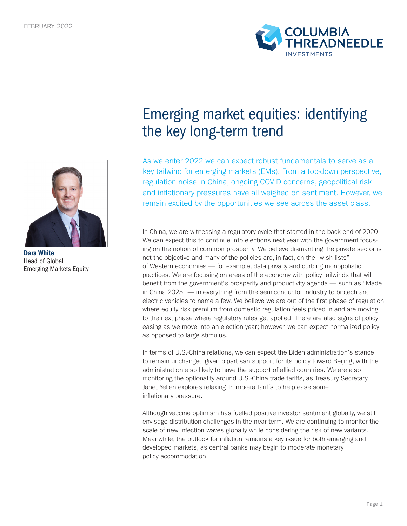

Dara White Head of Global Emerging Markets Equity

## Emerging market equities: identifying the key long-term trend

COLUMBI<mark>A</mark><br>THREADNEEDLE

As we enter 2022 we can expect robust fundamentals to serve as a key tailwind for emerging markets (EMs). From a top-down perspective, regulation noise in China, ongoing COVID concerns, geopolitical risk and inflationary pressures have all weighed on sentiment. However, we remain excited by the opportunities we see across the asset class.

In China, we are witnessing a regulatory cycle that started in the back end of 2020. We can expect this to continue into elections next year with the government focusing on the notion of common prosperity. We believe dismantling the private sector is not the objective and many of the policies are, in fact, on the "wish lists" of Western economies — for example, data privacy and curbing monopolistic practices. We are focusing on areas of the economy with policy tailwinds that will benefit from the government's prosperity and productivity agenda — such as "Made in China 2025" — in everything from the semiconductor industry to biotech and electric vehicles to name a few. We believe we are out of the first phase of regulation where equity risk premium from domestic regulation feels priced in and are moving to the next phase where regulatory rules get applied. There are also signs of policy easing as we move into an election year; however, we can expect normalized policy as opposed to large stimulus.

In terms of U.S.-China relations, we can expect the Biden administration's stance to remain unchanged given bipartisan support for its policy toward Beijing, with the administration also likely to have the support of allied countries. We are also monitoring the optionality around U.S.-China trade tariffs, as Treasury Secretary Janet Yellen explores relaxing Trump-era tariffs to help ease some inflationary pressure.

Although vaccine optimism has fuelled positive investor sentiment globally, we still envisage distribution challenges in the near term. We are continuing to monitor the scale of new infection waves globally while considering the risk of new variants. Meanwhile, the outlook for inflation remains a key issue for both emerging and developed markets, as central banks may begin to moderate monetary policy accommodation.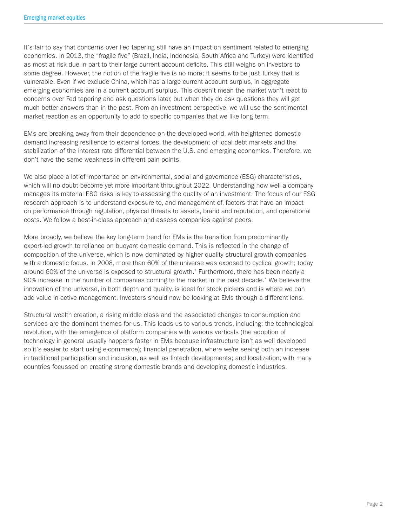It's fair to say that concerns over Fed tapering still have an impact on sentiment related to emerging economies. In 2013, the "fragile five" (Brazil, India, Indonesia, South Africa and Turkey) were identified as most at risk due in part to their large current account deficits. This still weighs on investors to some degree. However, the notion of the fragile five is no more; it seems to be just Turkey that is vulnerable. Even if we exclude China, which has a large current account surplus, in aggregate emerging economies are in a current account surplus. This doesn't mean the market won't react to concerns over Fed tapering and ask questions later, but when they do ask questions they will get much better answers than in the past. From an investment perspective, we will use the sentimental market reaction as an opportunity to add to specific companies that we like long term.

EMs are breaking away from their dependence on the developed world, with heightened domestic demand increasing resilience to external forces, the development of local debt markets and the stabilization of the interest rate differential between the U.S. and emerging economies. Therefore, we don't have the same weakness in different pain points.

We also place a lot of importance on environmental, social and governance (ESG) characteristics, which will no doubt become yet more important throughout 2022. Understanding how well a company manages its material ESG risks is key to assessing the quality of an investment. The focus of our ESG research approach is to understand exposure to, and management of, factors that have an impact on performance through regulation, physical threats to assets, brand and reputation, and operational costs. We follow a best-in-class approach and assess companies against peers.

More broadly, we believe the key long-term trend for EMs is the transition from predominantly export-led growth to reliance on buoyant domestic demand. This is reflected in the change of composition of the universe, which is now dominated by higher quality structural growth companies with a domestic focus. In 2008, more than 60% of the universe was exposed to cyclical growth; today around 60% of the universe is exposed to structural growth.\* Furthermore, there has been nearly a 90% increase in the number of companies coming to the market in the past decade.\* We believe the innovation of the universe, in both depth and quality, is ideal for stock pickers and is where we can add value in active management. Investors should now be looking at EMs through a different lens.

Structural wealth creation, a rising middle class and the associated changes to consumption and services are the dominant themes for us. This leads us to various trends, including: the technological revolution, with the emergence of platform companies with various verticals (the adoption of technology in general usually happens faster in EMs because infrastructure isn't as well developed so it's easier to start using e-commerce); financial penetration, where we're seeing both an increase in traditional participation and inclusion, as well as fintech developments; and localization, with many countries focussed on creating strong domestic brands and developing domestic industries.